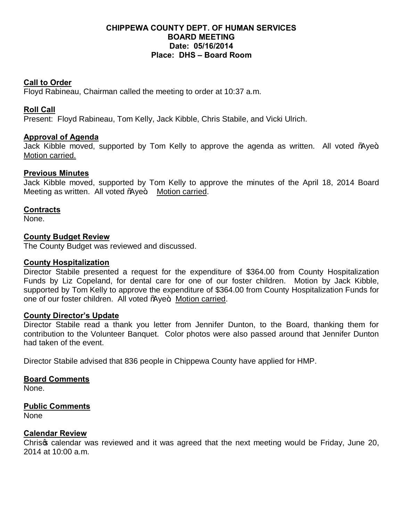# **CHIPPEWA COUNTY DEPT. OF HUMAN SERVICES BOARD MEETING Date: 05/16/2014 Place: DHS – Board Room**

# **Call to Order**

Floyd Rabineau, Chairman called the meeting to order at 10:37 a.m.

# **Roll Call**

Present: Floyd Rabineau, Tom Kelly, Jack Kibble, Chris Stabile, and Vicki Ulrich.

# **Approval of Agenda**

Jack Kibble moved, supported by Tom Kelly to approve the agenda as written. All voted % we+ Motion carried.

#### **Previous Minutes**

Jack Kibble moved, supported by Tom Kelly to approve the minutes of the April 18, 2014 Board Meeting as written. All voted % ye+. Motion carried.

# **Contracts**

None.

#### **County Budget Review**

The County Budget was reviewed and discussed.

#### **County Hospitalization**

Director Stabile presented a request for the expenditure of \$364.00 from County Hospitalization Funds by Liz Copeland, for dental care for one of our foster children. Motion by Jack Kibble, supported by Tom Kelly to approve the expenditure of \$364.00 from County Hospitalization Funds for one of our foster children. All voted % ye+. Motion carried.

#### **County Director's Update**

Director Stabile read a thank you letter from Jennifer Dunton, to the Board, thanking them for contribution to the Volunteer Banquet. Color photos were also passed around that Jennifer Dunton had taken of the event.

Director Stabile advised that 836 people in Chippewa County have applied for HMP.

#### **Board Comments**

None.

#### **Public Comments**

None

# **Calendar Review**

Chrisg calendar was reviewed and it was agreed that the next meeting would be Friday, June 20, 2014 at 10:00 a.m.